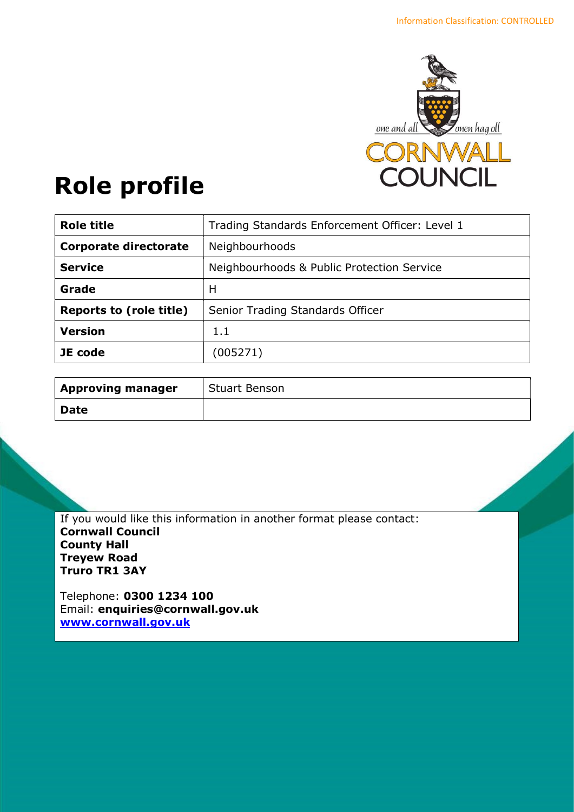

# Role profile

| Trading Standards Enforcement Officer: Level 1 |
|------------------------------------------------|
| Neighbourhoods                                 |
| Neighbourhoods & Public Protection Service     |
| H                                              |
| Senior Trading Standards Officer               |
| 1.1                                            |
| (005271)                                       |
|                                                |

| <b>Approving manager</b> | Stuart Benson |
|--------------------------|---------------|
| <b>Date</b>              |               |

If you would like this information in another format please contact: Cornwall Council County Hall Treyew Road Truro TR1 3AY

Telephone: 0300 1234 100 Email: enquiries@cornwall.gov.uk www.cornwall.gov.uk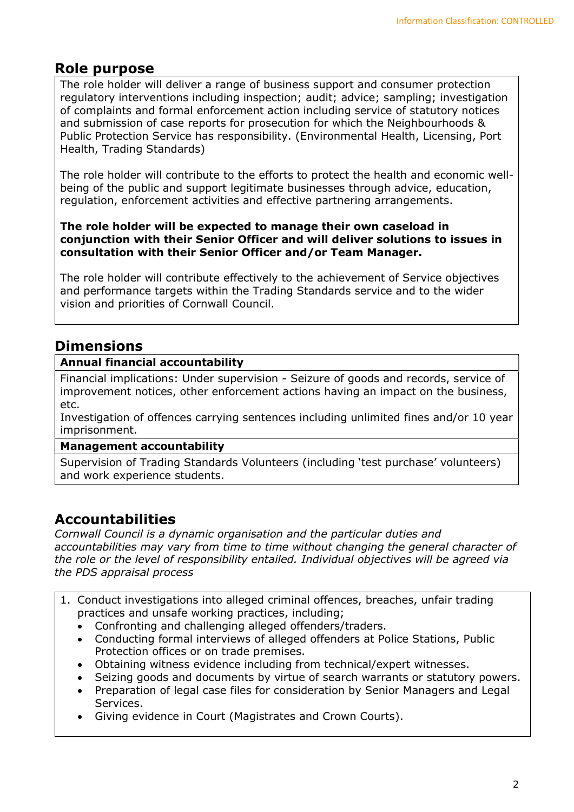## Role purpose

The role holder will deliver a range of business support and consumer protection regulatory interventions including inspection; audit; advice; sampling; investigation of complaints and formal enforcement action including service of statutory notices and submission of case reports for prosecution for which the Neighbourhoods & Public Protection Service has responsibility. (Environmental Health, Licensing, Port Health, Trading Standards)

The role holder will contribute to the efforts to protect the health and economic wellbeing of the public and support legitimate businesses through advice, education, regulation, enforcement activities and effective partnering arrangements.

#### The role holder will be expected to manage their own caseload in conjunction with their Senior Officer and will deliver solutions to issues in consultation with their Senior Officer and/or Team Manager.

The role holder will contribute effectively to the achievement of Service objectives and performance targets within the Trading Standards service and to the wider vision and priorities of Cornwall Council.

## **Dimensions**

## Annual financial accountability

Financial implications: Under supervision - Seizure of goods and records, service of improvement notices, other enforcement actions having an impact on the business, etc.

Investigation of offences carrying sentences including unlimited fines and/or 10 year imprisonment.

#### Management accountability

Supervision of Trading Standards Volunteers (including 'test purchase' volunteers) and work experience students.

# Accountabilities

Cornwall Council is a dynamic organisation and the particular duties and accountabilities may vary from time to time without changing the general character of the role or the level of responsibility entailed. Individual objectives will be agreed via the PDS appraisal process

- 1. Conduct investigations into alleged criminal offences, breaches, unfair trading practices and unsafe working practices, including;
	- Confronting and challenging alleged offenders/traders.
	- Conducting formal interviews of alleged offenders at Police Stations, Public Protection offices or on trade premises.
	- Obtaining witness evidence including from technical/expert witnesses.
	- Seizing goods and documents by virtue of search warrants or statutory powers.
	- Preparation of legal case files for consideration by Senior Managers and Legal Services.
	- Giving evidence in Court (Magistrates and Crown Courts).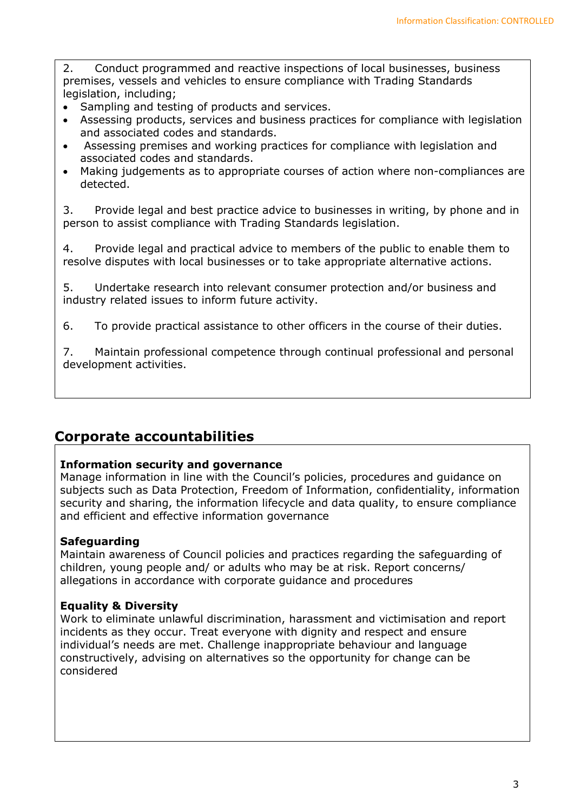2. Conduct programmed and reactive inspections of local businesses, business premises, vessels and vehicles to ensure compliance with Trading Standards legislation, including;

- Sampling and testing of products and services.
- Assessing products, services and business practices for compliance with legislation and associated codes and standards.
- Assessing premises and working practices for compliance with legislation and associated codes and standards.
- Making judgements as to appropriate courses of action where non-compliances are detected.

3. Provide legal and best practice advice to businesses in writing, by phone and in person to assist compliance with Trading Standards legislation.

4. Provide legal and practical advice to members of the public to enable them to resolve disputes with local businesses or to take appropriate alternative actions.

5. Undertake research into relevant consumer protection and/or business and industry related issues to inform future activity.

6. To provide practical assistance to other officers in the course of their duties.

7. Maintain professional competence through continual professional and personal development activities.

## Corporate accountabilities

## Information security and governance

Manage information in line with the Council's policies, procedures and guidance on subjects such as Data Protection, Freedom of Information, confidentiality, information security and sharing, the information lifecycle and data quality, to ensure compliance and efficient and effective information governance

## Safeguarding

Maintain awareness of Council policies and practices regarding the safeguarding of children, young people and/ or adults who may be at risk. Report concerns/ allegations in accordance with corporate guidance and procedures

## Equality & Diversity

Work to eliminate unlawful discrimination, harassment and victimisation and report incidents as they occur. Treat everyone with dignity and respect and ensure individual's needs are met. Challenge inappropriate behaviour and language constructively, advising on alternatives so the opportunity for change can be considered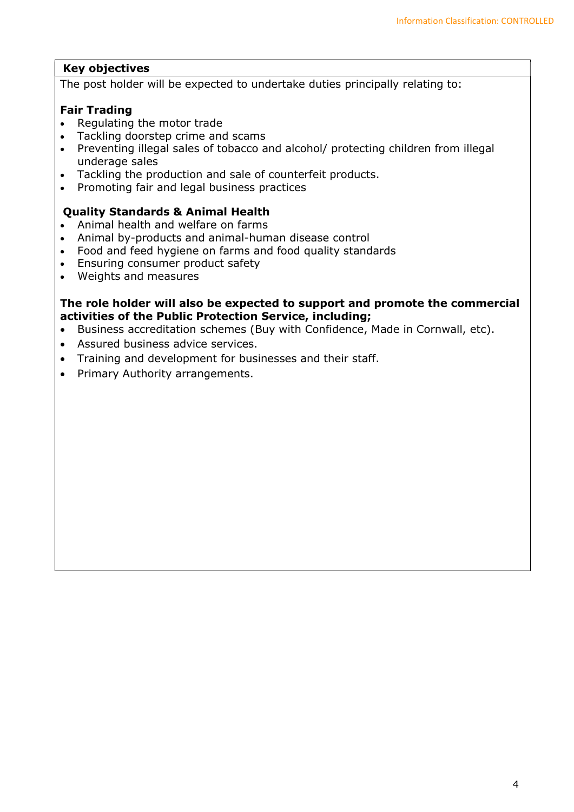## Key objectives

The post holder will be expected to undertake duties principally relating to:

#### Fair Trading

- Regulating the motor trade
- Tackling doorstep crime and scams
- Preventing illegal sales of tobacco and alcohol/ protecting children from illegal underage sales
- Tackling the production and sale of counterfeit products.
- Promoting fair and legal business practices

#### Quality Standards & Animal Health

- Animal health and welfare on farms
- Animal by-products and animal-human disease control
- Food and feed hygiene on farms and food quality standards
- Ensuring consumer product safety
- Weights and measures

#### The role holder will also be expected to support and promote the commercial activities of the Public Protection Service, including;

- Business accreditation schemes (Buy with Confidence, Made in Cornwall, etc).
- Assured business advice services.
- Training and development for businesses and their staff.
- Primary Authority arrangements.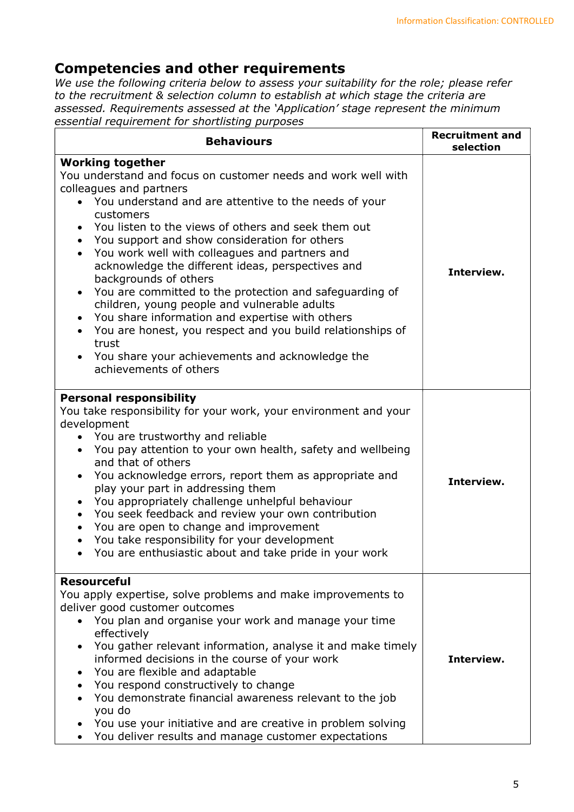# Competencies and other requirements

We use the following criteria below to assess your suitability for the role; please refer to the recruitment & selection column to establish at which stage the criteria are assessed. Requirements assessed at the 'Application' stage represent the minimum essential requirement for shortlisting purposes

| <b>Behaviours</b>                                                                                                                                                                                                                                                                                                                                                                                                                                                                                                                                                                                                                                                                                                                                                                            | <b>Recruitment and</b><br>selection |
|----------------------------------------------------------------------------------------------------------------------------------------------------------------------------------------------------------------------------------------------------------------------------------------------------------------------------------------------------------------------------------------------------------------------------------------------------------------------------------------------------------------------------------------------------------------------------------------------------------------------------------------------------------------------------------------------------------------------------------------------------------------------------------------------|-------------------------------------|
| <b>Working together</b><br>You understand and focus on customer needs and work well with<br>colleagues and partners<br>• You understand and are attentive to the needs of your<br>customers<br>You listen to the views of others and seek them out<br>You support and show consideration for others<br>You work well with colleagues and partners and<br>$\bullet$<br>acknowledge the different ideas, perspectives and<br>backgrounds of others<br>You are committed to the protection and safeguarding of<br>$\bullet$<br>children, young people and vulnerable adults<br>You share information and expertise with others<br>$\bullet$<br>You are honest, you respect and you build relationships of<br>trust<br>You share your achievements and acknowledge the<br>achievements of others | Interview.                          |
| <b>Personal responsibility</b><br>You take responsibility for your work, your environment and your<br>development<br>• You are trustworthy and reliable<br>You pay attention to your own health, safety and wellbeing<br>$\bullet$<br>and that of others<br>You acknowledge errors, report them as appropriate and<br>$\bullet$<br>play your part in addressing them<br>You appropriately challenge unhelpful behaviour<br>$\bullet$<br>You seek feedback and review your own contribution<br>$\bullet$<br>You are open to change and improvement<br>You take responsibility for your development<br>You are enthusiastic about and take pride in your work<br>$\bullet$                                                                                                                     | Interview.                          |
| <b>Resourceful</b><br>You apply expertise, solve problems and make improvements to<br>deliver good customer outcomes<br>• You plan and organise your work and manage your time<br>effectively<br>You gather relevant information, analyse it and make timely<br>$\bullet$<br>informed decisions in the course of your work<br>You are flexible and adaptable<br>You respond constructively to change<br>You demonstrate financial awareness relevant to the job<br>you do<br>You use your initiative and are creative in problem solving<br>You deliver results and manage customer expectations                                                                                                                                                                                             | Interview.                          |